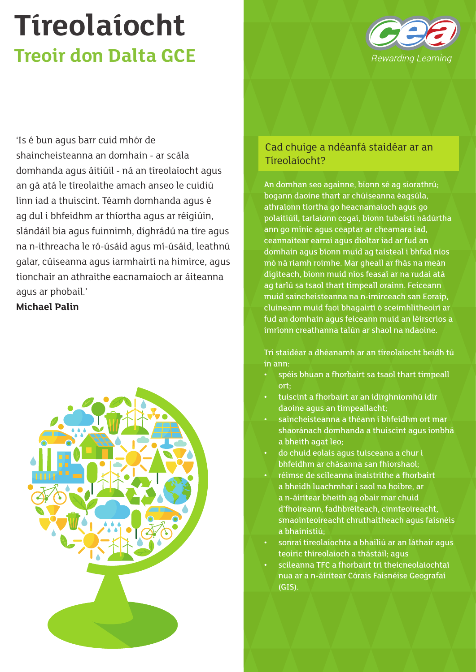

'Is é bun agus barr cuid mhór de shaincheisteanna an domhain - ar scála domhanda agus áitiúil - ná an tíreolaíocht agus an gá atá le tíreolaithe amach anseo le cuidiú linn iad a thuiscint. Téamh domhanda agus é ag dul i bhfeidhm ar thíortha agus ar réigiúin, slándáil bia agus fuinnimh, díghrádú na tíre agus na n-ithreacha le ró-úsáid agus mí-úsáid, leathnú galar, cúiseanna agus iarmhairtí na himirce, agus tionchair an athraithe eacnamaíoch ar áiteanna agus ar phobail.'

#### **Michael Palin**



### Cad chuige a ndéanfá staidéar ar an Tíreolaíocht?

An domhan seo againne, bíonn sé ag síorathrú; bogann daoine thart ar chúiseanna éagsúla, athraíonn tíortha go heacnamaíoch agus go polaitiúil, tarlaíonn cogaí, bíonn tubaistí nádúrtha ann go minic agus ceaptar ar cheamara iad, ceannaítear earraí agus díoltar iad ar fud an domhain agus bíonn muid ag taisteal i bhfad níos mó ná riamh roimhe. Mar gheall ar fhás na meán digiteach, bíonn muid níos feasaí ar na rudaí atá ag tarlú sa tsaol thart timpeall orainn. Feiceann muid saincheisteanna na n-imirceach san Eoraip, cluineann muid faoi bhagairtí ó sceimhlitheoirí ar fud an domhain agus feiceann muid an léirscrios a imríonn creathanna talún ar shaol na ndaoine.

Trí staidéar a dhéanamh ar an tíreolaíocht beidh tú in ann:

- spéis bhuan a fhorbairt sa tsaol thart timpeall ort;
- tuiscint a fhorbairt ar an idirghníomhú idir daoine agus an timpeallacht;
- saincheisteanna a théann i bhfeidhm ort mar shaoránach domhanda a thuiscint agus ionbhá a bheith agat leo;
- do chuid eolais agus tuisceana a chur i bhfeidhm ar chásanna san fhíorshaol;
- réimse de scileanna inaistrithe a fhorbairt a bheidh luachmhar i saol na hoibre, ar a n-áirítear bheith ag obair mar chuid d'fhoireann, fadhbréiteach, cinnteoireacht, smaointeoireacht chruthaitheach agus faisnéis a bhainistiú;
- sonraí tíreolaíochta a bhailiú ar an láthair agus teoiric thíreolaíoch a thástáil; agus
- scileanna TFC a fhorbairt trí theicneolaíochtaí nua ar a n-áirítear Córais Faisnéise Geografaí (GIS).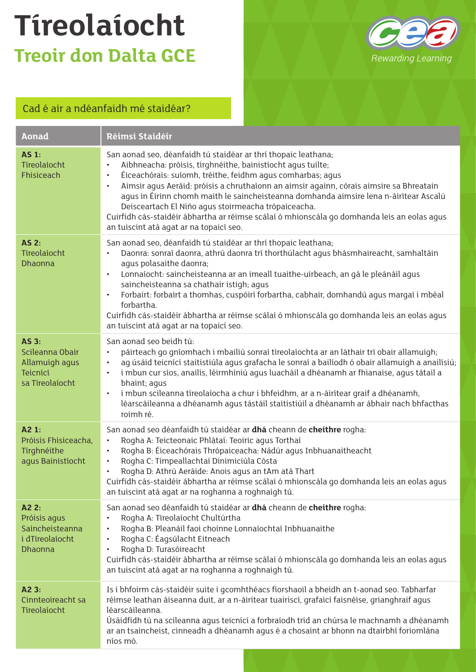

### Cad é air a ndéanfaidh mé staidéar?

| <b>Aonad</b>                                                                     | Réimsí Staidéir                                                                                                                                                                                                                                                                                                                                                                                                                                                                                                                                                                                                         |
|----------------------------------------------------------------------------------|-------------------------------------------------------------------------------------------------------------------------------------------------------------------------------------------------------------------------------------------------------------------------------------------------------------------------------------------------------------------------------------------------------------------------------------------------------------------------------------------------------------------------------------------------------------------------------------------------------------------------|
| <b>AS 1:</b><br>Tíreolaíocht<br>Fhisiceach                                       | San aonad seo, déanfaidh tú staidéar ar thrí thopaic leathana;<br>Aibhneacha: próisis, tírghnéithe, bainistíocht agus tuilte;<br>$\bullet$<br>Éiceachórais: suíomh, tréithe, feidhm agus comharbas; agus<br>$\bullet$<br>Aimsir agus Aeráid: próisis a chruthaíonn an aimsir againn, córais aimsire sa Bhreatain<br>$\bullet$<br>agus in Éirinn chomh maith le saincheisteanna domhanda aimsire lena n-áirítear Ascalú<br>Deisceartach El Niño agus stoirmeacha trópaiceacha.<br>Cuirfidh cás-staidéir ábhartha ar réimse scálaí ó mhionscála go domhanda leis an eolas agus<br>an tuiscint atá agat ar na topaicí seo. |
| <b>AS 2:</b><br>Tíreolaíocht<br>Dhaonna                                          | San aonad seo, déanfaidh tú staidéar ar thrí thopaic leathana;<br>Daonra: sonraí daonra, athrú daonra trí thorthúlacht agus bhásmhaireacht, samhaltáin<br>$\bullet$<br>agus polasaithe daonra;<br>Lonnaíocht: saincheisteanna ar an imeall tuaithe-uirbeach, an gá le pleánáil agus<br>$\bullet$<br>saincheisteanna sa chathair istigh; agus<br>Forbairt: forbairt a thomhas, cuspóirí forbartha, cabhair, domhandú agus margaí i mbéal<br>$\bullet$<br>forbartha.<br>Cuirfidh cás-staidéir ábhartha ar réimse scálaí ó mhionscála go domhanda leis an eolas agus<br>an tuiscint atá agat ar na topaicí seo.            |
| <b>AS 3:</b><br>Scileanna Obair<br>Allamuigh agus<br>Teicnící<br>sa Tíreolaíocht | San aonad seo beidh tú:<br>páirteach go gníomhach i mbailiú sonraí tíreolaíochta ar an láthair trí obair allamuigh;<br>$\bullet$<br>ag úsáid teicnící staitistiúla agus grafacha le sonraí a bailíodh ó obair allamuigh a anailísiú<br>$\bullet$<br>i mbun cur síos, anailís, léirmhíniú agus luacháil a dhéanamh ar fhianaise, agus tátail a<br>$\bullet$<br>bhaint; agus<br>i mbun scileanna tíreolaíocha a chur i bhfeidhm, ar a n-áirítear graif a dhéanamh,<br>$\bullet$<br>léarscáileanna a dhéanamh agus tástáil staitistiúil a dhéanamh ar ábhair nach bhfacthas<br>roimh ré.                                   |
| A2 1:<br>Próisis Fhisiceacha,<br>Tirghnéithe<br>agus Bainistíocht                | San aonad seo déanfaidh tú staidéar ar dhá cheann de cheithre rogha:<br>Rogha A: Teicteonaic Phlátaí: Teoiric agus Torthaí<br>$\bullet$<br>Rogha B: Éiceachórais Thrópaiceacha: Nádúr agus Inbhuanaitheacht<br>$\bullet$<br>Rogha C: Timpeallachtaí Dinimiciúla Cósta<br>$\bullet$<br>Rogha D: Athrú Aeráide: Anois agus an tAm atá Thart<br>$\bullet$<br>Cuirfidh cás-staidéir ábhartha ar réimse scálaí ó mhionscála go domhanda leis an eolas agus<br>an tuiscint atá agat ar na roghanna a roghnaigh tú.                                                                                                            |
| A2 2:<br>Próisis agus<br>Saincheisteanna<br>i dTíreolaíocht<br><b>Dhaonna</b>    | San aonad seo déanfaidh tú staidéar ar dhá cheann de cheithre rogha:<br>Rogha A: Tíreolaíocht Chultúrtha<br>$\bullet$<br>Rogha B: Pleanáil faoi choinne Lonnaíochtaí Inbhuanaithe<br>$\bullet$<br>Rogha C: Éagsúlacht Eitneach<br>$\bullet$<br>Rogha D: Turasóireacht<br>$\bullet$<br>Cuirfidh cás-staidéir ábhartha ar réimse scálaí ó mhionscála go domhanda leis an eolas agus<br>an tuiscint atá agat ar na roghanna a roghnaigh tú.                                                                                                                                                                                |
| A2 3:<br>Cinnteoireacht sa<br>Tíreolaíocht                                       | Is i bhfoirm cás-staidéir suite i gcomhthéacs fíorshaoil a bheidh an t-aonad seo. Tabharfar<br>réimse leathan áiseanna duit, ar a n-áirítear tuairiscí, grafaicí faisnéise, grianghraif agus<br>léarscáileanna.<br>Úsáidfidh tú na scileanna agus teicnící a forbraíodh tríd an chúrsa le machnamh a dhéanamh<br>ar an tsaincheist, cinneadh a dhéanamh agus é a chosaint ar bhonn na dtairbhí foriomlána<br>níos mó.                                                                                                                                                                                                   |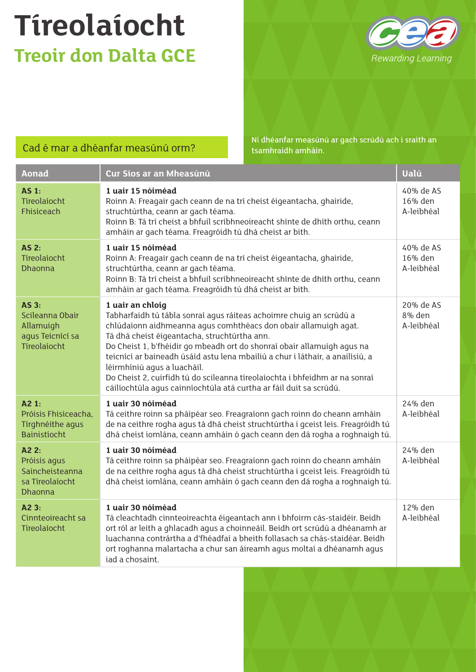

### Cad é mar a dhéanfar measúnú orm?

Ní dhéanfar measúnú ar gach scrúdú ach i sraith an tsamhraidh amháin.

| <b>Aonad</b>                                                                     | Cur Síos ar an Mheasúnú                                                                                                                                                                                                                                                                                                                                                                                                                                                                                                                                    | Ualú                               |
|----------------------------------------------------------------------------------|------------------------------------------------------------------------------------------------------------------------------------------------------------------------------------------------------------------------------------------------------------------------------------------------------------------------------------------------------------------------------------------------------------------------------------------------------------------------------------------------------------------------------------------------------------|------------------------------------|
| <b>AS 1:</b><br>Tíreolaíocht<br>Fhisiceach                                       | 1 uair 15 nóiméad<br>Roinn A: Freagair gach ceann de na trí cheist éigeantacha, ghairide,<br>struchtúrtha, ceann ar gach téama.<br>Roinn B: Tá trí cheist a bhfuil scríbhneoireacht shínte de dhíth orthu, ceann<br>amháin ar gach téama. Freagróidh tú dhá cheist ar bith.                                                                                                                                                                                                                                                                                | 40% de AS<br>16% den<br>A-leibhéal |
| $AS2$ :<br>Tíreolaíocht<br><b>Dhaonna</b>                                        | 1 uair 15 nóiméad<br>Roinn A: Freagair gach ceann de na trí cheist éigeantacha, ghairide,<br>struchtúrtha, ceann ar gach téama.<br>Roinn B: Tá trí cheist a bhfuil scríbhneoireacht shínte de dhíth orthu, ceann<br>amháin ar gach téama. Freagróidh tú dhá cheist ar bith.                                                                                                                                                                                                                                                                                | 40% de AS<br>16% den<br>A-leibhéal |
| <b>AS 3:</b><br>Scileanna Obair<br>Allamuigh<br>agus Teicnící sa<br>Tíreolaíocht | 1 uair an chloig<br>Tabharfaidh tú tábla sonraí agus ráiteas achoimre chuig an scrúdú a<br>chlúdaíonn aidhmeanna agus comhthéacs don obair allamuigh agat.<br>Tá dhá cheist éigeantacha, struchtúrtha ann.<br>Do Cheist 1, b'fhéidir go mbeadh ort do shonraí obair allamuigh agus na<br>teicnící ar baineadh úsáid astu lena mbailiú a chur i láthair, a anailísiú, a<br>léirmhíniú agus a luacháil.<br>Do Cheist 2, cuirfidh tú do scileanna tíreolaíochta i bhfeidhm ar na sonraí<br>cáilíochtúla agus cainníochtúla atá curtha ar fáil duit sa scrúdú. | 20% de AS<br>8% den<br>A-leibhéal  |
| A21:<br>Próisis Fhisiceacha,<br>Tírghnéithe agus<br><b>Bainistíocht</b>          | 1 uair 30 nóiméad<br>Tá ceithre roinn sa pháipéar seo. Freagraíonn gach roinn do cheann amháin<br>de na ceithre rogha agus tá dhá cheist struchtúrtha i gceist leis. Freagróidh tú<br>dhá cheist iomlána, ceann amháin ó gach ceann den dá rogha a roghnaigh tú.                                                                                                                                                                                                                                                                                           | 24% den<br>A-leibhéal              |
| A22:<br>Próisis agus<br>Saincheisteanna<br>sa Tíreolaíocht<br>Dhaonna            | 1 uair 30 nóiméad<br>Tá ceithre roinn sa pháipéar seo. Freagraíonn gach roinn do cheann amháin<br>de na ceithre rogha agus tá dhá cheist struchtúrtha i gceist leis. Freagróidh tú<br>dhá cheist iomlána, ceann amháin ó gach ceann den dá rogha a roghnaigh tú.                                                                                                                                                                                                                                                                                           | 24% den<br>A-leibhéal              |
| A23:<br>Cinnteoireacht sa<br>Tíreolaíocht                                        | 1 uair 30 nóiméad<br>Tá cleachtadh cinnteoireachta éigeantach ann i bhfoirm cás-staidéir. Beidh<br>ort ról ar leith a ghlacadh agus a choinneáil. Beidh ort scrúdú a dhéanamh ar<br>luachanna contrártha a d'fhéadfaí a bheith follasach sa chás-staidéar. Beidh<br>ort roghanna malartacha a chur san áireamh agus moltaí a dhéanamh agus<br>iad a chosaint.                                                                                                                                                                                              | 12% den<br>A-leibhéal              |